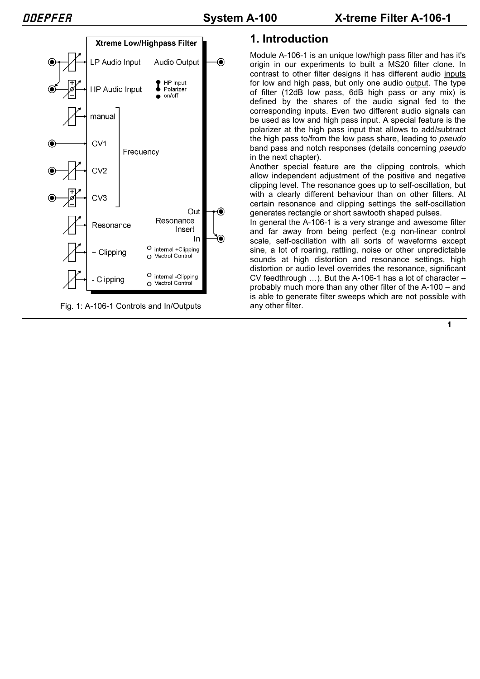

Fig. 1: A-106-1 Controls and In/Outputs

# **1. Introduction**

Module A-106-1 is an unique low/high pass filter and has it's origin in our experiments to built a MS20 filter clone. In contrast to other filter designs it has different audio inputs for low and high pass, but only one audio output. The type of filter (12dB low pass, 6dB high pass or any mix) is defined by the shares of the audio signal fed to the corresponding inputs. Even two different audio signals can be used as low and high pass input. A special feature is the polarizer at the high pass input that allows to add/subtract the high pass to/from the low pass share, leading to *pseudo* band pass and notch responses (details concerning *pseudo* in the next chapter).

Another special feature are the clipping controls, which allow independent adjustment of the positive and negative clipping level. The resonance goes up to self-oscillation, but with a clearly different behaviour than on other filters. At certain resonance and clipping settings the self-oscillation generates rectangle or short sawtooth shaped pulses.

In general the A-106-1 is a very strange and awesome filter and far away from being perfect (e.g non-linear control scale, self-oscillation with all sorts of waveforms except sine, a lot of roaring, rattling, noise or other unpredictable sounds at high distortion and resonance settings, high distortion or audio level overrides the resonance, significant CV feedthrough …). But the A-106-1 has a lot of character – probably much more than any other filter of the A-100 – and is able to generate filter sweeps which are not possible with any other filter.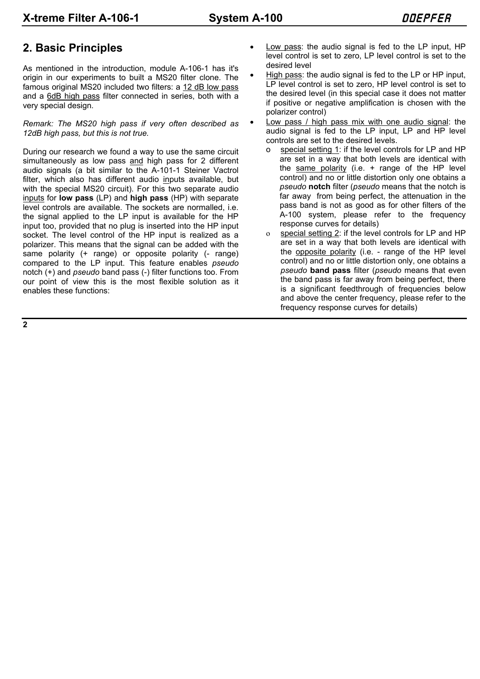# **2. Basic Principles**

As mentioned in the introduction, module A-106-1 has it's origin in our experiments to built a MS20 filter clone. The famous original MS20 included two filters: a 12 dB low pass and a 6dB high pass filter connected in series, both with a very special design.

*Remark: The MS20 high pass if very often described as 12dB high pass, but this is not true.*

During our research we found a way to use the same circuit simultaneously as low pass and high pass for 2 different audio signals (a bit similar to the A-101-1 Steiner Vactrol filter, which also has different audio inputs available, but with the special MS20 circuit). For this two separate audio inputs for **low pass** (LP) and **high pass** (HP) with separate level controls are available. The sockets are normalled, i.e. the signal applied to the LP input is available for the HP input too, provided that no plug is inserted into the HP input socket. The level control of the HP input is realized as a polarizer. This means that the signal can be added with the same polarity (+ range) or opposite polarity (- range) compared to the LP input. This feature enables *pseudo* notch (+) and *pseudo* band pass (-) filter functions too. From our point of view this is the most flexible solution as it enables these functions:

- Low pass: the audio signal is fed to the LP input, HP level control is set to zero, LP level control is set to the desired level
- High pass: the audio signal is fed to the LP or HP input, LP level control is set to zero, HP level control is set to the desired level (in this special case it does not matter if positive or negative amplification is chosen with the polarizer control)
- Low pass / high pass mix with one audio signal: the audio signal is fed to the LP input, LP and HP level controls are set to the desired levels.
	- special setting 1: if the level controls for LP and HP are set in a way that both levels are identical with the same polarity (i.e. + range of the HP level control) and no or little distortion only one obtains a *pseudo* **notch** filter (*pseudo* means that the notch is far away from being perfect, the attenuation in the pass band is not as good as for other filters of the A-100 system, please refer to the frequency response curves for details)
	- o special setting 2: if the level controls for LP and HP are set in a way that both levels are identical with the opposite polarity (i.e. - range of the HP level control) and no or little distortion only, one obtains a *pseudo* **band pass** filter (*pseudo* means that even the band pass is far away from being perfect, there is a significant feedthrough of frequencies below and above the center frequency, please refer to the frequency response curves for details)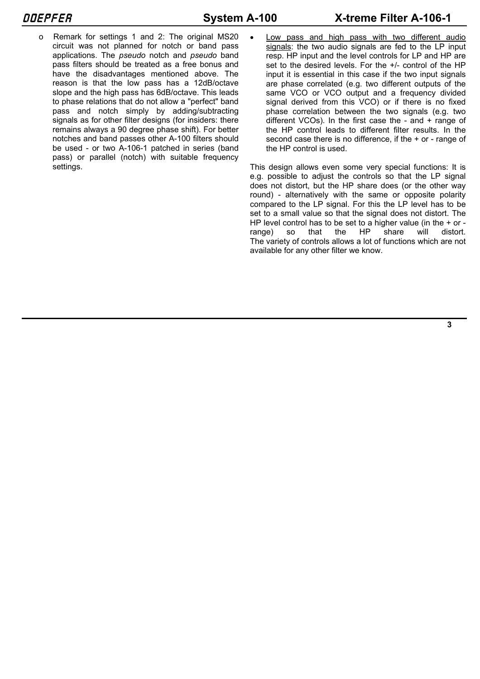- 
- o Remark for settings 1 and 2: The original MS20 circuit was not planned for notch or band pass applications. The *pseudo* notch and *pseudo* band pass filters should be treated as a free bonus and have the disadvantages mentioned above. The reason is that the low pass has a 12dB/octave slope and the high pass has 6dB/octave. This leads to phase relations that do not allow a "perfect" band pass and notch simply by adding/subtracting signals as for other filter designs (for insiders: there remains always a 90 degree phase shift). For better notches and band passes other A-100 filters should be used - or two A-106-1 patched in series (band pass) or parallel (notch) with suitable frequency settings.

Low pass and high pass with two different audio signals: the two audio signals are fed to the LP input resp. HP input and the level controls for LP and HP are set to the desired levels. For the +/- control of the HP input it is essential in this case if the two input signals are phase correlated (e.g. two different outputs of the same VCO or VCO output and a frequency divided signal derived from this VCO) or if there is no fixed phase correlation between the two signals (e.g. two different VCOs). In the first case the - and + range of the HP control leads to different filter results. In the second case there is no difference, if the + or - range of the HP control is used.

This design allows even some very special functions: It is e.g. possible to adjust the controls so that the LP signal does not distort, but the HP share does (or the other way round) - alternatively with the same or opposite polarity compared to the LP signal. For this the LP level has to be set to a small value so that the signal does not distort. The HP level control has to be set to a higher value (in the + or range) so that the HP share will distort. The variety of controls allows a lot of functions which are not available for any other filter we know.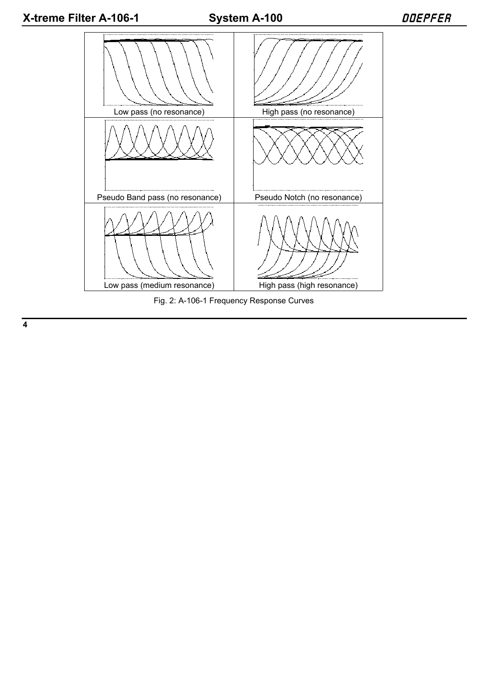

Fig. 2: A-106-1 Frequency Response Curves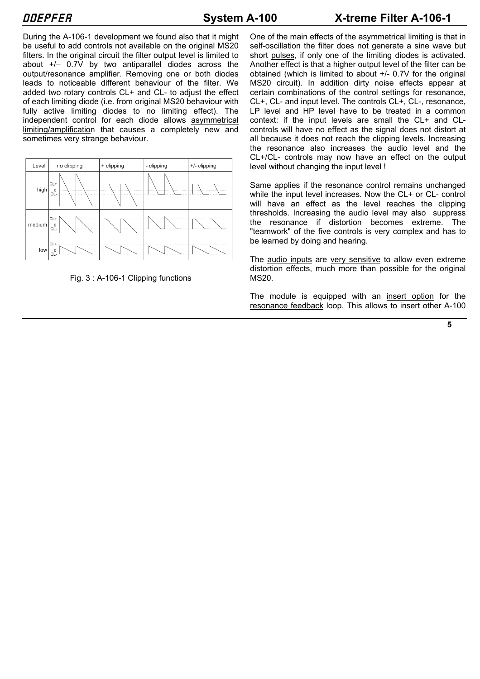During the A-106-1 development we found also that it might be useful to add controls not available on the original MS20 filters. In the original circuit the filter output level is limited to about +/– 0.7V by two antiparallel diodes across the output/resonance amplifier. Removing one or both diodes leads to noticeable different behaviour of the filter. We added two rotary controls CL+ and CL- to adjust the effect of each limiting diode (i.e. from original MS20 behaviour with fully active limiting diodes to no limiting effect). The independent control for each diode allows asymmetrical limiting/amplification that causes a completely new and sometimes very strange behaviour.





One of the main effects of the asymmetrical limiting is that in self-oscillation the filter does not generate a sine wave but short pulses, if only one of the limiting diodes is activated. Another effect is that a higher output level of the filter can be obtained (which is limited to about +/- 0.7V for the original MS20 circuit). In addition dirty noise effects appear at certain combinations of the control settings for resonance, CL+, CL- and input level. The controls CL+, CL-, resonance, LP level and HP level have to be treated in a common context: if the input levels are small the CL+ and CLcontrols will have no effect as the signal does not distort at all because it does not reach the clipping levels. Increasing the resonance also increases the audio level and the CL+/CL- controls may now have an effect on the output level without changing the input level !

Same applies if the resonance control remains unchanged while the input level increases. Now the CL+ or CL- control will have an effect as the level reaches the clipping thresholds. Increasing the audio level may also suppress the resonance if distortion becomes extreme. The "teamwork" of the five controls is very complex and has to be learned by doing and hearing.

The audio inputs are very sensitive to allow even extreme distortion effects, much more than possible for the original MS20.

The module is equipped with an insert option for the resonance feedback loop. This allows to insert other A-100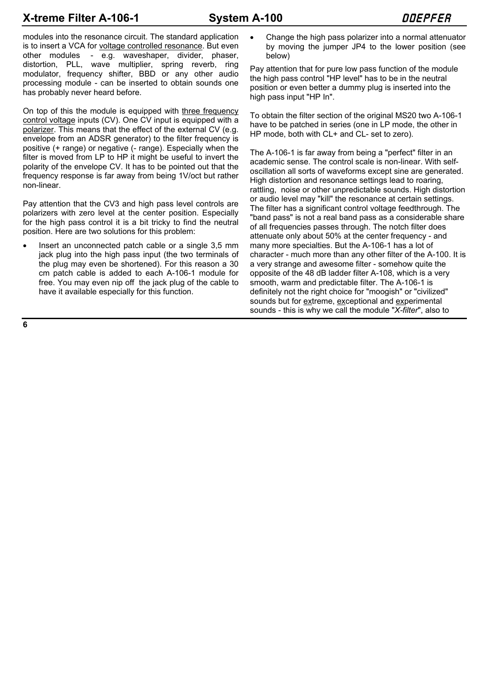# **X-treme Filter A-106-1** System A-100 Bystem A-100

modules into the resonance circuit. The standard application is to insert a VCA for voltage controlled resonance. But even other modules - e.g. waveshaper, divider, phaser, distortion, PLL, wave multiplier, spring reverb, ring modulator, frequency shifter, BBD or any other audio processing module - can be inserted to obtain sounds one has probably never heard before.

On top of this the module is equipped with three frequency control voltage inputs (CV). One CV input is equipped with a polarizer. This means that the effect of the external CV (e.g. envelope from an ADSR generator) to the filter frequency is positive (+ range) or negative (- range). Especially when the filter is moved from LP to HP it might be useful to invert the polarity of the envelope CV. It has to be pointed out that the frequency response is far away from being 1V/oct but rather non-linear.

Pay attention that the CV3 and high pass level controls are polarizers with zero level at the center position. Especially for the high pass control it is a bit tricky to find the neutral position. Here are two solutions for this problem:

Insert an unconnected patch cable or a single 3,5 mm jack plug into the high pass input (the two terminals of the plug may even be shortened). For this reason a 30 cm patch cable is added to each A-106-1 module for free. You may even nip off the jack plug of the cable to have it available especially for this function.

Change the high pass polarizer into a normal attenuator by moving the jumper JP4 to the lower position (see below)

Pay attention that for pure low pass function of the module the high pass control "HP level" has to be in the neutral position or even better a dummy plug is inserted into the high pass input "HP In".

To obtain the filter section of the original MS20 two A-106-1 have to be patched in series (one in LP mode, the other in HP mode, both with CL+ and CL- set to zero).

The A-106-1 is far away from being a "perfect" filter in an academic sense. The control scale is non-linear. With selfoscillation all sorts of waveforms except sine are generated. High distortion and resonance settings lead to roaring, rattling, noise or other unpredictable sounds. High distortion or audio level may "kill" the resonance at certain settings. The filter has a significant control voltage feedthrough. The "band pass" is not a real band pass as a considerable share of all frequencies passes through. The notch filter does attenuate only about 50% at the center frequency - and many more specialties. But the A-106-1 has a lot of character - much more than any other filter of the A-100. It is a very strange and awesome filter - somehow quite the opposite of the 48 dB ladder filter A-108, which is a very smooth, warm and predictable filter. The A-106-1 is definitely not the right choice for "moogish" or "civilized" sounds but for extreme, exceptional and experimental sounds - this is why we call the module "*X-filter*", also to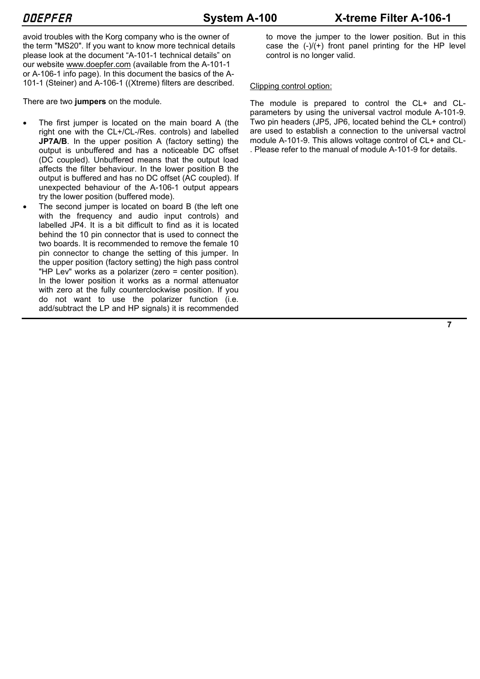avoid troubles with the Korg company who is the owner of the term "MS20". If you want to know more technical details please look at the document "A-101-1 technical details" on our website www.doepfer.com (available from the A-101-1 or A-106-1 info page). In this document the basics of the A-101-1 (Steiner) and A-106-1 ((Xtreme) filters are described.

There are two **jumpers** on the module.

- The first jumper is located on the main board A (the right one with the CL+/CL-/Res. controls) and labelled **JP7A/B.** In the upper position A (factory setting) the output is unbuffered and has a noticeable DC offset (DC coupled). Unbuffered means that the output load affects the filter behaviour. In the lower position B the output is buffered and has no DC offset (AC coupled). If unexpected behaviour of the A-106-1 output appears try the lower position (buffered mode).
- The second jumper is located on board B (the left one with the frequency and audio input controls) and labelled JP4. It is a bit difficult to find as it is located behind the 10 pin connector that is used to connect the two boards. It is recommended to remove the female 10 pin connector to change the setting of this jumper. In the upper position (factory setting) the high pass control "HP Lev" works as a polarizer (zero = center position). In the lower position it works as a normal attenuator with zero at the fully counterclockwise position. If you do not want to use the polarizer function (i.e. add/subtract the LP and HP signals) it is recommended

to move the jumper to the lower position. But in this case the  $(-)/(+)$  front panel printing for the HP level control is no longer valid.

## Clipping control option:

The module is prepared to control the CL+ and CLparameters by using the universal vactrol module A-101-9. Two pin headers (JP5, JP6, located behind the CL+ control) are used to establish a connection to the universal vactrol module A-101-9. This allows voltage control of CL+ and CL- . Please refer to the manual of module A-101-9 for details.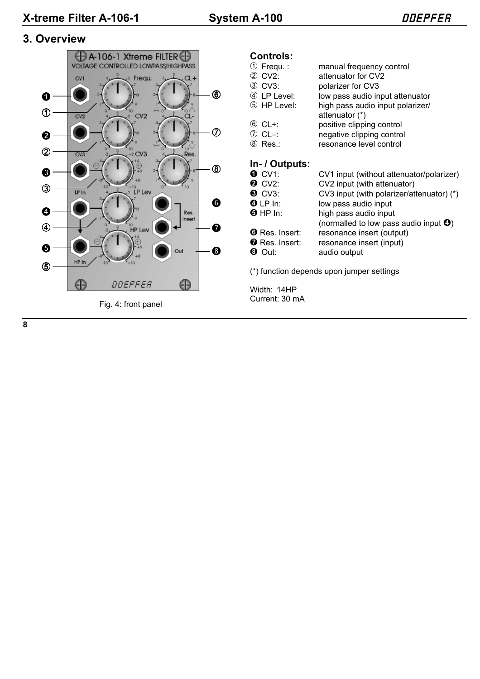## **3. Overview**



Fig. 4: front panel

# **Controls:**<br>① Frequ.:

| $\circledcirc$ Frequ. :<br>2 CV2:<br>3 CV3: | manual frequency control<br>attenuator for CV2<br>polarizer for CV3 |
|---------------------------------------------|---------------------------------------------------------------------|
| 4 LP Level:                                 | low pass audio input attenuator                                     |
| 5 HP Level:                                 | high pass audio input polarizer/<br>attenuator (*)                  |
| 6 CL+:                                      | positive clipping control                                           |
| ⑦ CL–:                                      | negative clipping control                                           |
| ⑧ Res∴                                      | resonance level control                                             |

## **In- / Outputs:**

| $\bullet$ CV1:                                          | CV1 input (without attenuator/polarizer)                                                                                                             |
|---------------------------------------------------------|------------------------------------------------------------------------------------------------------------------------------------------------------|
| <b>2</b> CV2:                                           | CV2 input (with attenuator)                                                                                                                          |
| $\odot$ CV3:<br>$\bm{\Theta}$ LP In:<br>$\Theta$ HP In: | CV3 input (with polarizer/attenuator) (*)<br>low pass audio input<br>high pass audio input<br>(normalled to low pass audio input $\mathbf{\Theta}$ ) |
| <b>O</b> Res. Insert:                                   | resonance insert (output)                                                                                                                            |
| $\bullet$ Res. Insert:                                  | resonance insert (input)                                                                                                                             |
| $\bm{\Theta}$ Out:                                      | audio output                                                                                                                                         |

(\*) function depends upon jumper settings

Width: 14HP Current: 30 mA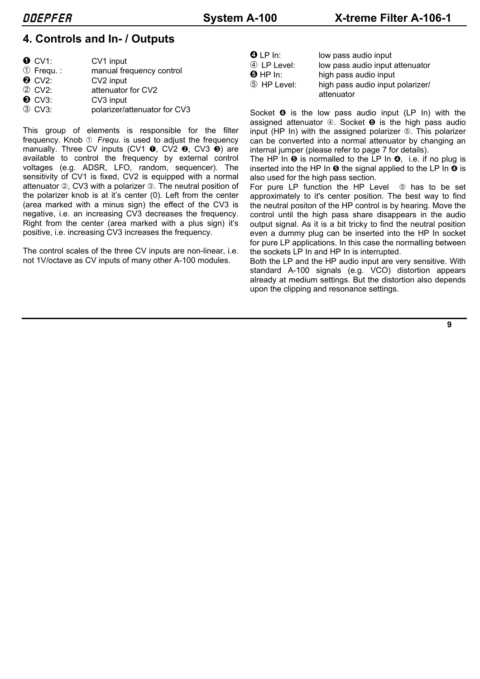# **4. Controls and In- / Outputs**

| $\bullet$ CV1:        | CV1 input                    |
|-----------------------|------------------------------|
| $\circled{1}$ Frequ.: | manual frequency control     |
| $Q$ CV2:              | CV2 input                    |
| 2 CV2:                | attenuator for CV2           |
| $\odot$ CV3:          | CV3 input                    |
| 3 CV3:                | polarizer/attenuator for CV3 |

This group of elements is responsible for the filter frequency. Knob  $\odot$  *Frequ.* is used to adjust the frequency manually. Three CV inputs (CV1  $\bullet$ , CV2  $\bullet$ , CV3  $\bullet$ ) are available to control the frequency by external control voltages (e.g. ADSR, LFO, random, sequencer). The sensitivity of CV1 is fixed, CV2 is equipped with a normal attenuator 2, CV3 with a polarizer 3. The neutral position of the polarizer knob is at it's center (0). Left from the center (area marked with a minus sign) the effect of the CV3 is negative, i.e. an increasing CV3 decreases the frequency. Right from the center (area marked with a plus sign) it's positive, i.e. increasing CV3 increases the frequency.

The control scales of the three CV inputs are non-linear, i.e. not 1V/octave as CV inputs of many other A-100 modules.

| $\bm{\Theta}$ LP In: | low pass audio input             |
|----------------------|----------------------------------|
| 4 LP Level:          | low pass audio input attenuator  |
| $\Theta$ HP In:      | high pass audio input            |
| 5 HP Level:          | high pass audio input polarizer/ |
|                      | attenuator                       |

Socket  $\bullet$  is the low pass audio input (LP In) with the assigned attenuator  $\circledA$ . Socket  $\bullet$  is the high pass audio input (HP In) with the assigned polarizer 5. This polarizer can be converted into a normal attenuator by changing an internal jumper (please refer to page 7 for details).

The HP In  $\Theta$  is normalled to the LP In  $\Theta$ , i.e. if no plug is inserted into the HP In  $\Theta$  the signal applied to the LP In  $\Theta$  is also used for the high pass section.

For pure LP function the HP Level  $\circled$  has to be set approximately to it's center position. The best way to find the neutral positon of the HP control is by hearing. Move the control until the high pass share disappears in the audio output signal. As it is a bit tricky to find the neutral position even a dummy plug can be inserted into the HP In socket for pure LP applications. In this case the normalling between the sockets LP In and HP In is interrupted.

Both the LP and the HP audio input are very sensitive. With standard A-100 signals (e.g. VCO) distortion appears already at medium settings. But the distortion also depends upon the clipping and resonance settings.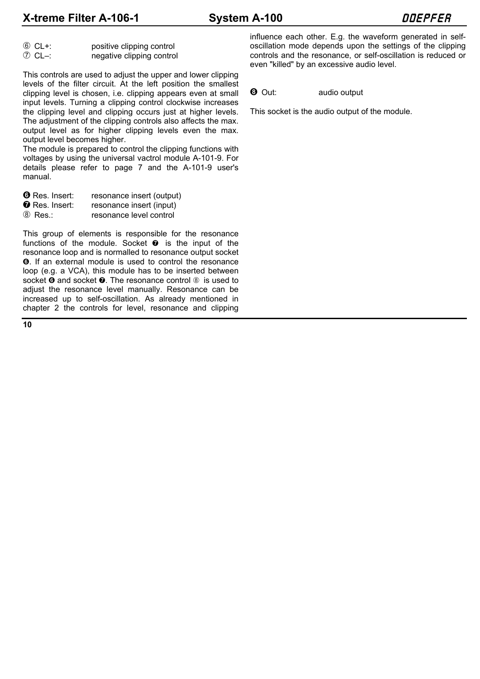**X-treme Filter A-106-1** System A-100 Bystem A-100

| $6$ CL+:            | positive clipping control |
|---------------------|---------------------------|
| $\circledcirc$ CL-: | negative clipping control |

This controls are used to adjust the upper and lower clipping levels of the filter circuit. At the left position the smallest clipping level is chosen, i.e. clipping appears even at small input levels. Turning a clipping control clockwise increases the clipping level and clipping occurs just at higher levels. The adjustment of the clipping controls also affects the max. output level as for higher clipping levels even the max. output level becomes higher.

The module is prepared to control the clipping functions with voltages by using the universal vactrol module A-101-9. For details please refer to page 7 and the A-101-9 user's manual.

**O** Res. Insert: resonance insert (output) **O** Res. Insert: resonance insert (input) 8 Res.: resonance level control

This group of elements is responsible for the resonance functions of the module. Socket  $\bullet$  is the input of the resonance loop and is normalled to resonance output socket &. If an external module is used to control the resonance loop (e.g. a VCA), this module has to be inserted between socket  $\Theta$  and socket  $\Theta$ . The resonance control  $\otimes$  is used to adjust the resonance level manually. Resonance can be increased up to self-oscillation. As already mentioned in chapter 2 the controls for level, resonance and clipping influence each other. E.g. the waveform generated in selfoscillation mode depends upon the settings of the clipping controls and the resonance, or self-oscillation is reduced or even "killed" by an excessive audio level.

**6** Out: audio output

This socket is the audio output of the module.